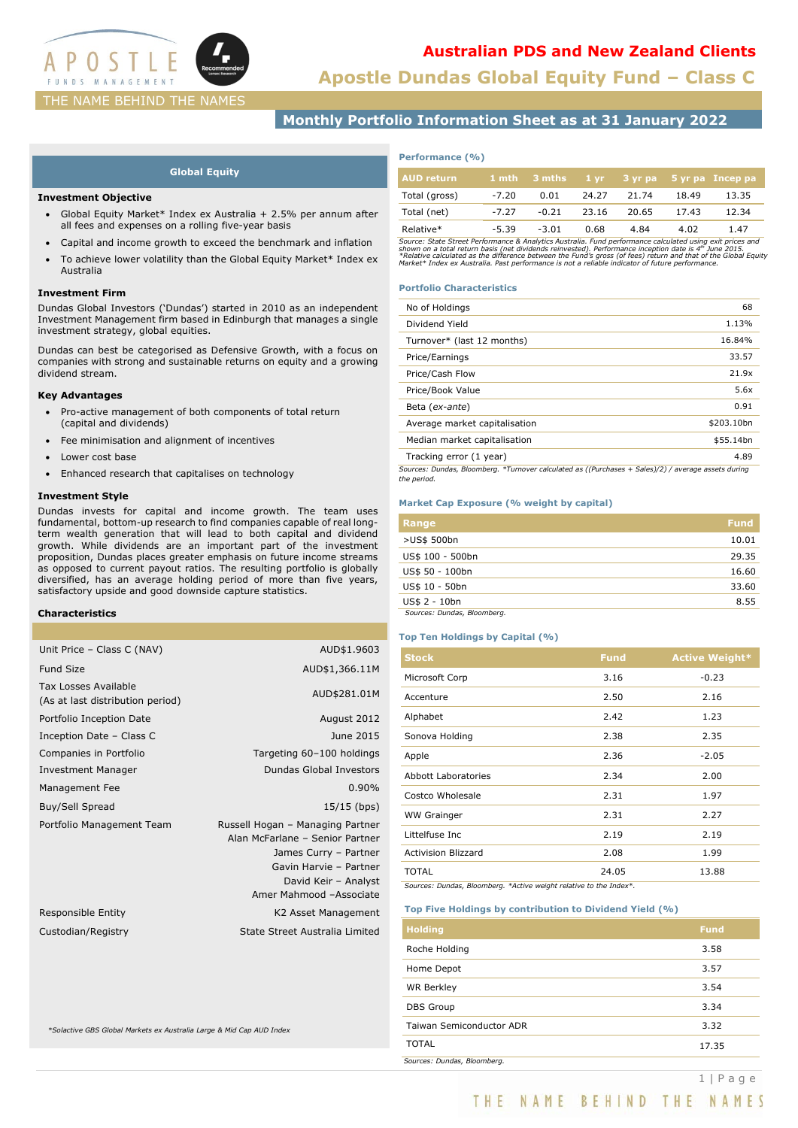

# **Apostle Dundas Global Equity Fund – Class C Australian PDS and New Zealand Clients**

# **Monthly Portfolio Information Sheet as at 31 January 2022**

## **Global Equity**

### **Investment Objective**

- Global Equity Market\* Index ex Australia + 2.5% per annum after all fees and expenses on a rolling five-year basis
- Capital and income growth to exceed the benchmark and inflation
- To achieve lower volatility than the Global Equity Market\* Index ex Australia

### **Investment Firm**

Dundas Global Investors ('Dundas') started in 2010 as an independent Investment Management firm based in Edinburgh that manages a single investment strategy, global equities.

Dundas can best be categorised as Defensive Growth, with a focus on companies with strong and sustainable returns on equity and a growing dividend stream.

### **Key Advantages**

- Pro-active management of both components of total return (capital and dividends)
- Fee minimisation and alignment of incentives
- Lower cost base
- Enhanced research that capitalises on technology

## **Investment Style**

Dundas invests for capital and income growth. The team uses fundamental, bottom-up research to find companies capable of real longterm wealth generation that will lead to both capital and dividend growth. While dividends are an important part of the investment proposition, Dundas places greater emphasis on future income streams as opposed to current payout ratios. The resulting portfolio is globally diversified, has an average holding period of more than five years, satisfactory upside and good downside capture statistics.

## **Characteristics**

| Unit Price - Class C (NAV)                                      | AUD\$1.9603                                                                                                                                                               |
|-----------------------------------------------------------------|---------------------------------------------------------------------------------------------------------------------------------------------------------------------------|
| Fund Size                                                       | AUD\$1,366.11M                                                                                                                                                            |
| <b>Tax Losses Available</b><br>(As at last distribution period) | AUD\$281.01M                                                                                                                                                              |
| Portfolio Inception Date                                        | August 2012                                                                                                                                                               |
| Inception Date - Class C                                        | June 2015                                                                                                                                                                 |
| Companies in Portfolio                                          | Targeting 60-100 holdings                                                                                                                                                 |
| <b>Investment Manager</b>                                       | <b>Dundas Global Investors</b>                                                                                                                                            |
| Management Fee                                                  | 0.90%                                                                                                                                                                     |
| Buy/Sell Spread                                                 | 15/15 (bps)                                                                                                                                                               |
| Portfolio Management Team                                       | Russell Hogan - Managing Partner<br>Alan McFarlane - Senior Partner<br>James Curry - Partner<br>Gavin Harvie - Partner<br>David Keir - Analyst<br>Amer Mahmood -Associate |
| Responsible Entity                                              | K2 Asset Management                                                                                                                                                       |
| Custodian/Registry                                              | State Street Australia Limited                                                                                                                                            |
|                                                                 |                                                                                                                                                                           |

*\*Solactive GBS Global Markets ex Australia Large & Mid Cap AUD Index*

## **Performance (%)**

| AUD return    |         |         |       |       |       | $1$ mth $3$ mths $1$ yr $3$ yr pa $5$ yr pa Incep pa |
|---------------|---------|---------|-------|-------|-------|------------------------------------------------------|
| Total (gross) | $-7.20$ | 0.01    | 24.27 | 21.74 | 18.49 | 13.35                                                |
| Total (net)   | $-7.27$ | $-0.21$ | 23.16 | 20.65 | 17.43 | 12.34                                                |
| Relative*     | $-5.39$ | $-3.01$ | 0.68  | 4.84  | 4.02  | 1.47                                                 |

Source: State Street Performance & Analytics Australia. Fund performance calculated using exit prices and<br>shown on a total return basis (net dividends reinvested). Performance inception date is 4''' June 2015.<br>\*Relative ca

### **Portfolio Characteristics**

| No of Holdings                                                                                      | 68         |
|-----------------------------------------------------------------------------------------------------|------------|
| Dividend Yield                                                                                      | 1.13%      |
| Turnover* (last 12 months)                                                                          | 16.84%     |
| Price/Earnings                                                                                      | 33.57      |
| Price/Cash Flow                                                                                     | 21.9x      |
| Price/Book Value                                                                                    | 5.6x       |
| Beta (ex-ante)                                                                                      | 0.91       |
| Average market capitalisation                                                                       | \$203.10bn |
| Median market capitalisation                                                                        | \$55.14bn  |
| Tracking error (1 year)                                                                             | 4.89       |
| Cources: Dundas, Bloomberg, *Turnover calculated as ((Durchases + Sales)(2) / average assets during |            |

*Sources: Dundas, Bloomberg. \*Turnover calculated as ((Purchases + Sales)/2) / average assets during the period.*

## **Market Cap Exposure (% weight by capital)**

| Range                       | <b>Fund</b> |
|-----------------------------|-------------|
| >US\$ 500bn                 | 10.01       |
| US\$ 100 - 500bn            | 29.35       |
| US\$ 50 - 100bn             | 16.60       |
| US\$ 10 - 50bn              | 33.60       |
| US\$ 2 - 10bn               | 8.55        |
| Sources: Dundas, Bloomberg. |             |

## **Top Ten Holdings by Capital (%)**

| <b>Stock</b>               | <b>Fund</b> | <b>Active Weight*</b> |
|----------------------------|-------------|-----------------------|
| Microsoft Corp             | 3.16        | $-0.23$               |
| Accenture                  | 2.50        | 2.16                  |
| Alphabet                   | 2.42        | 1.23                  |
| Sonova Holding             | 2.38        | 2.35                  |
| Apple                      | 2.36        | $-2.05$               |
| Abbott Laboratories        | 2.34        | 2.00                  |
| Costco Wholesale           | 2.31        | 1.97                  |
| <b>WW Grainger</b>         | 2.31        | 2.27                  |
| Littelfuse Inc             | 2.19        | 2.19                  |
| <b>Activision Blizzard</b> | 2.08        | 1.99                  |
| <b>TOTAL</b>               | 24.05       | 13.88                 |

*Sources: Dundas, Bloomberg. \*Active weight relative to the Index\*.*

### **Top Five Holdings by contribution to Dividend Yield (%)**

| <b>Holding</b>              | <b>Fund</b> |
|-----------------------------|-------------|
| Roche Holding               | 3.58        |
| Home Depot                  | 3.57        |
| <b>WR Berkley</b>           | 3.54        |
| <b>DBS</b> Group            | 3.34        |
| Taiwan Semiconductor ADR    | 3.32        |
| <b>TOTAL</b>                | 17.35       |
| Sources: Dundas, Bloomberg. |             |

1 | Page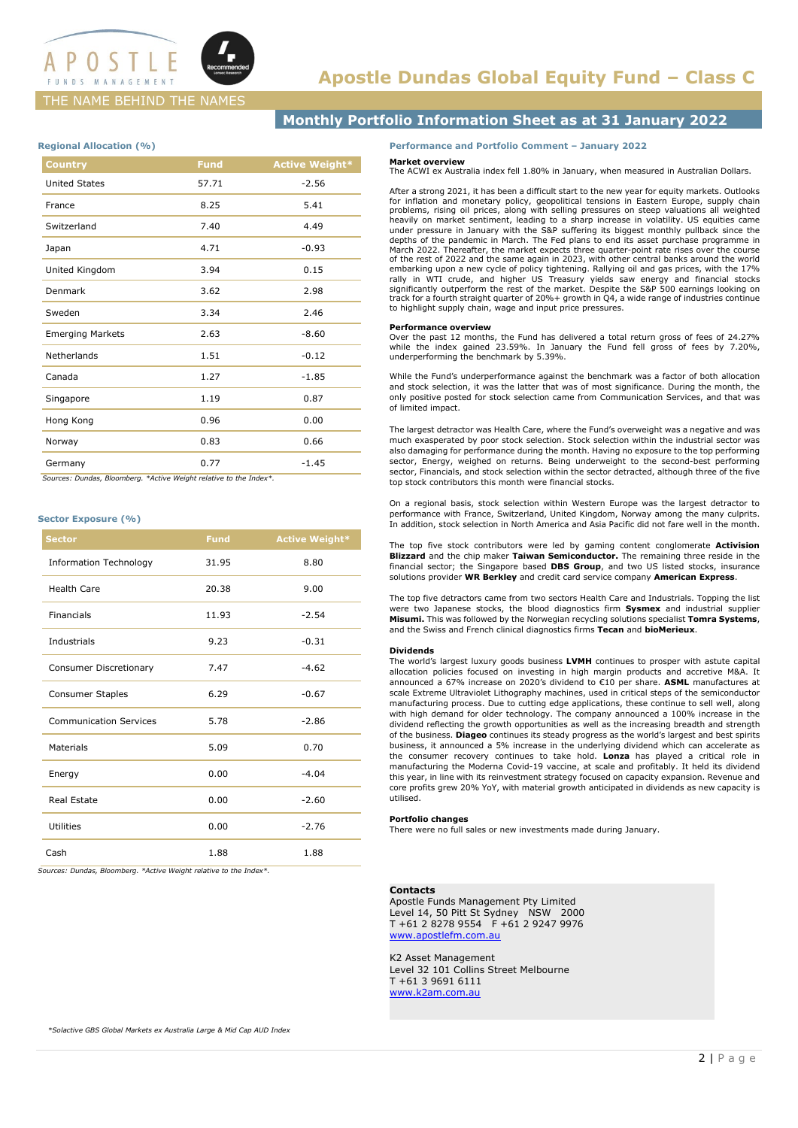

## THE NAME BEHIND THE NAMES

## **Monthly Portfolio Information Sheet as at 31 January 2022**

### **Regional Allocation (%)**

| <b>Fund</b> | <b>Active Weight*</b> |
|-------------|-----------------------|
| 57.71       | $-2.56$               |
| 8.25        | 5.41                  |
| 7.40        | 4.49                  |
| 4.71        | $-0.93$               |
| 3.94        | 0.15                  |
| 3.62        | 2.98                  |
| 3.34        | 2.46                  |
| 2.63        | $-8.60$               |
| 1.51        | $-0.12$               |
| 1.27        | $-1.85$               |
| 1.19        | 0.87                  |
| 0.96        | 0.00                  |
| 0.83        | 0.66                  |
| 0.77        | $-1.45$               |
|             |                       |

 *Sources: Dundas, Bloomberg. \*Active Weight relative to the Index\*.*

## **Sector Exposure (%)**

| <b>Sector</b>                 | <b>Fund</b> | <b>Active Weight*</b> |
|-------------------------------|-------------|-----------------------|
| <b>Information Technology</b> | 31.95       | 8.80                  |
| <b>Health Care</b>            | 20.38       | 9.00                  |
| <b>Financials</b>             | 11.93       | $-2.54$               |
| Industrials                   | 9.23        | $-0.31$               |
| <b>Consumer Discretionary</b> | 7.47        | $-4.62$               |
| <b>Consumer Staples</b>       | 6.29        | $-0.67$               |
| <b>Communication Services</b> | 5.78        | $-2.86$               |
| Materials                     | 5.09        | 0.70                  |
| Energy                        | 0.00        | $-4.04$               |
| Real Estate                   | 0.00        | $-2.60$               |
| Utilities                     | 0.00        | $-2.76$               |
| Cash                          | 1.88        | 1.88                  |

*Sources: Dundas, Bloomberg. \*Active Weight relative to the Index\*.*

### **Performance and Portfolio Comment – January 2022**

#### **Market overview**

The ACWI ex Australia index fell 1.80% in January, when measured in Australian Dollars.

After a strong 2021, it has been a difficult start to the new year for equity markets. Outlooks for inflation and monetary policy, geopolitical tensions in Eastern Europe, supply chain<br>problems, rising oil prices, along with selling pressures on steep valuations all weighted<br>heavily on market sentiment, leading to a depths of the pandemic in March. The Fed plans to end its asset purchase programme in March 2022. Thereafter, the market expects three quarter-point rate rises over the course of the rest of 2022 and the same again in 2023, with other central banks around the world embarking upon a new cycle of policy tightening. Rallying oil and gas prices, with the 17%<br>rally in WTI crude, and higher US Treasury yields saw energy and financial stocks<br>significantly outperform the rest of the market. to highlight supply chain, wage and input price pressures.

### **Performance overview**

Over the past 12 months, the Fund has delivered a total return gross of fees of 24.27% while the index gained 23.59%. In January the Fund fell gross of fees by 7.20%, underperforming the benchmark by 5.39%.

While the Fund's underperformance against the benchmark was a factor of both allocation and stock selection, it was the latter that was of most significance. During the month, the only positive posted for stock selection came from Communication Services, and that was of limited impact.

The largest detractor was Health Care, where the Fund's overweight was a negative and was much exasperated by poor stock selection. Stock selection within the industrial sector was also damaging for performance during the month. Having no exposure to the top performing sector, Energy, weighed on returns. Being underweight to the second-best performing sector, Financials, and stock selection within the sector detracted, although three of the five top stock contributors this month were financial stocks.

On a regional basis, stock selection within Western Europe was the largest detractor to performance with France, Switzerland, United Kingdom, Norway among the many culprits. In addition, stock selection in North America and Asia Pacific did not fare well in the month.

The top five stock contributors were led by gaming content conglomerate **Activision Blizzard** and the chip maker **Taiwan Semiconductor.** The remaining three reside in the financial sector; the Singapore based **DBS Group**, and two US listed stocks, insurance solutions provider **WR Berkley** and credit card service company **American Express**.

The top five detractors came from two sectors Health Care and Industrials. Topping the list were two Japanese stocks, the blood diagnostics firm **Sysmex** and industrial supplier **Misumi.** This was followed by the Norwegian recycling solutions specialist **Tomra Systems**, and the Swiss and French clinical diagnostics firms **Tecan** and **bioMerieux**.

#### **Dividends**

The world's largest luxury goods business **LVMH** continues to prosper with astute capital allocation policies focused on investing in high margin products and accretive M&A. It announced a 67% increase on 2020's dividend to €10 per share. **ASML** manufactures at scale Extreme Ultraviolet Lithography machines, used in critical steps of the semiconductor manufacturing process. Due to cutting edge applications, these continue to sell well, along with high demand for older technology. The company announced a 100% increase in the dividend reflecting the growth opportunities as well as the increasing breadth and strength of the business. **Diageo** continues its steady progress as the world's largest and best spirits business, it announced a 5% increase in the underlying dividend which can accelerate as the consumer recovery continues to take hold. **Lonza** has played a critical role in manufacturing the Moderna Covid-19 vaccine, at scale and profitably. It held its dividend this year, in line with its reinvestment strategy focused on capacity expansion. Revenue and core profits grew 20% YoY, with material growth anticipated in dividends as new capacity is utilised.

## **Portfolio changes**

There were no full sales or new investments made during January.

#### **Contacts**

Apostle Funds Management Pty Limited Level 14, 50 Pitt St Sydney NSW 2000 T +61 2 8278 9554 F +61 2 9247 9976 [www.apostlefm.com.au](http://www.apostlefm.com.au/)

## K2 Asset Management

Level 32 101 Collins Street Melbourne T +61 3 9691 6111 [www.k2am.com.au](http://www.k2am.com.au/)